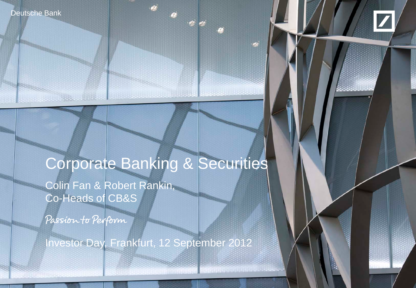Deutsche Bank



# Corporate Banking & Securities

Colin Fan & Robert Rankin, Co-Heads of CB&S

Passion to Perform

Investor Day, Frankfurt, 12 September 2012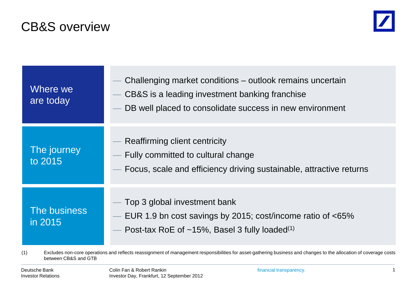# CB&S overview



| Where we<br>are today   | Challenging market conditions – outlook remains uncertain<br>CB&S is a leading investment banking franchise<br>DB well placed to consolidate success in new environment |
|-------------------------|-------------------------------------------------------------------------------------------------------------------------------------------------------------------------|
| The journey<br>to 2015  | Reaffirming client centricity<br>Fully committed to cultural change<br>Focus, scale and efficiency driving sustainable, attractive returns                              |
| The business<br>in 2015 | Top 3 global investment bank<br>EUR 1.9 bn cost savings by 2015; cost/income ratio of <65%<br>Post-tax RoE of $~15\%$ , Basel 3 fully loaded <sup>(1)</sup>             |

(1) Excludes non-core operations and reflects reassignment of management responsibilities for asset-gathering business and changes to the allocation of coverage costs between CB&S and GTB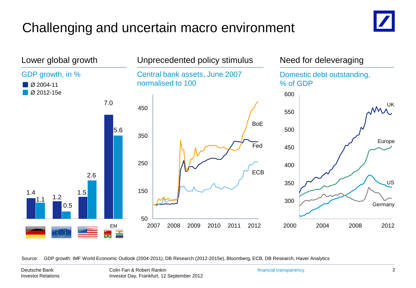# Challenging and uncertain macro environment





Source: GDP growth: IMF World Economic Outlook (2004-2011), DB Research (2012-2015e), Bloomberg, ECB, DB Research, Haver Analytics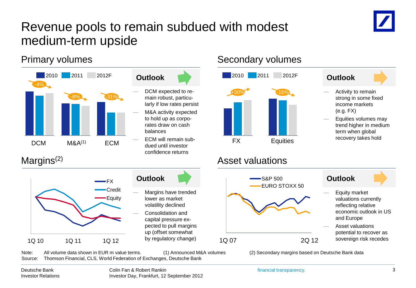# Revenue pools to remain subdued with modest medium-term upside





### Primary volumes example and secondary volumes of the Secondary volumes





— Equities volumes may trend higher in medium term when global recovery takes hold



- Equity market valuations currently reflecting relative economic outlook in US and Europe
- Asset valuations potential to recover as sovereign risk recedes

Note: All volume data shown in EUR m value terms. (1) Announced M&A volumes (2) Secondary margins based on Deutsche Bank data Source: Thomson Financial, CLS, World Federation of Exchanges, Deutsche Bank

1Q 07 2Q 12

S&P 500

EURO STOXX 50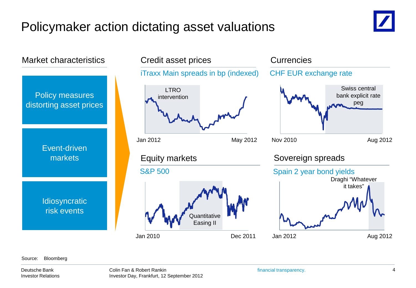# Policymaker action dictating asset valuations







### Source: Bloomberg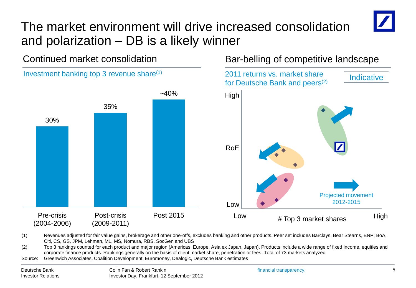# The market environment will drive increased consolidation and polarization – DB is a likely winner

Continued market consolidation

Investment banking top 3 revenue share(1)

### Bar-belling of competitive landscape



<sup>(1)</sup> Revenues adjusted for fair value gains, brokerage and other one-offs, excludes banking and other products. Peer set includes Barclays, Bear Stearns, BNP, BoA, Citi, CS, GS, JPM, Lehman, ML, MS, Nomura, RBS, SocGen and UBS

Source: Greenwich Associates, Coalition Development, Euromoney, Dealogic, Deutsche Bank estimates

<sup>(2)</sup> Top 3 rankings counted for each product and major region (Americas, Europe, Asia ex Japan, Japan). Products include a wide range of fixed income, equities and corporate finance products. Rankings generally on the basis of client market share, penetration or fees. Total of 73 markets analyzed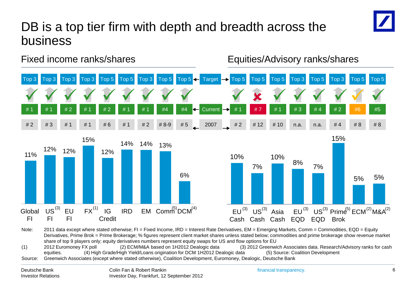# DB is a top tier firm with depth and breadth across the business



Fixed income ranks/shares Equities/Advisory ranks/shares



<sup>6</sup> (1) 2012 Euromoney FX poll (2) ECM/M&A based on 1H2012 Dealogic data (3) 2012 Greenwich Associates data. Research/Advisory ranks for cash Note: 2011 data except where stated otherwise; FI = Fixed Income, IRD = Interest Rate Derivatives, EM = Emerging Markets, Comm = Commodities, EQD = Equity Derivatives, Prime Brok = Prime Brokerage; % figures represent client market shares unless stated below; commodities and prime brokerage show revenue market share of top 9 players only; equity derivatives numbers represent equity swaps for US and flow options for EU

equities. (4) High Grade/High Yield/Loans origination for DCM 1H2012 Dealogic data (5) Source: Coalition Development Source: Greenwich Associates (except where stated otherwise), Coalition Development, Euromoney, Dealogic, Deutsche Bank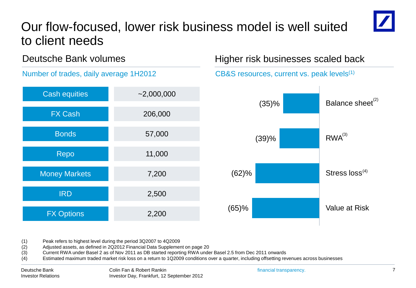# Our flow-focused, lower risk business model is well suited to client needs



### Deutsche Bank volumes

Number of trades, daily average 1H2012

| <b>Cash equities</b> | $-2,000,000$ |    |
|----------------------|--------------|----|
| <b>FX Cash</b>       | 206,000      |    |
| <b>Bonds</b>         | 57,000       |    |
| Repo                 | 11,000       |    |
| <b>Money Markets</b> | 7,200        |    |
| <b>IRD</b>           | 2,500        |    |
| <b>FX Options</b>    | 2,200        | (6 |

### Higher risk businesses scaled back



(1) Peak refers to highest level during the period 3Q2007 to 4Q2009

(2) Adjusted assets, as defined in 2Q2012 Financial Data Supplement on page 20

(3) Current RWA under Basel 2 as of Nov 2011 as DB started reporting RWA under Basel 2.5 from Dec 2011 onwards

(4) Estimated maximum traded market risk loss on a return to 1Q2009 conditions over a quarter, including offsetting revenues across businesses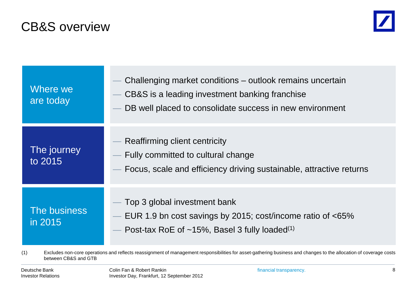# CB&S overview



| Where we<br>are today   | Challenging market conditions – outlook remains uncertain<br>CB&S is a leading investment banking franchise<br>DB well placed to consolidate success in new environment |
|-------------------------|-------------------------------------------------------------------------------------------------------------------------------------------------------------------------|
| The journey<br>to 2015  | Reaffirming client centricity<br>Fully committed to cultural change<br>Focus, scale and efficiency driving sustainable, attractive returns                              |
| The business<br>in 2015 | Top 3 global investment bank<br>EUR 1.9 bn cost savings by 2015; cost/income ratio of <65%<br>Post-tax RoE of ~15%, Basel 3 fully loaded <sup>(1)</sup>                 |

(1) Excludes non-core operations and reflects reassignment of management responsibilities for asset-gathering business and changes to the allocation of coverage costs between CB&S and GTB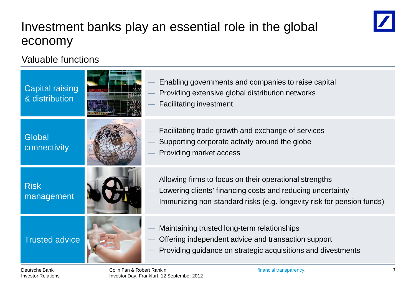# Investment banks play an essential role in the global economy



### Valuable functions

| <b>Capital raising</b><br>& distribution | Enabling governments and companies to raise capital<br>Providing extensive global distribution networks<br><b>Facilitating investment</b>                                                     |
|------------------------------------------|-----------------------------------------------------------------------------------------------------------------------------------------------------------------------------------------------|
| Global<br>connectivity                   | Facilitating trade growth and exchange of services<br>Supporting corporate activity around the globe<br>Providing market access                                                               |
| <b>Risk</b><br>management                | Allowing firms to focus on their operational strengths<br>Lowering clients' financing costs and reducing uncertainty<br>Immunizing non-standard risks (e.g. longevity risk for pension funds) |
| <b>Trusted advice</b>                    | Maintaining trusted long-term relationships<br>Offering independent advice and transaction support<br>Providing guidance on strategic acquisitions and divestments                            |

Colin Fan & Robert Rankin **financial transparency**. Investor Day, Frankfurt, 12 September 2012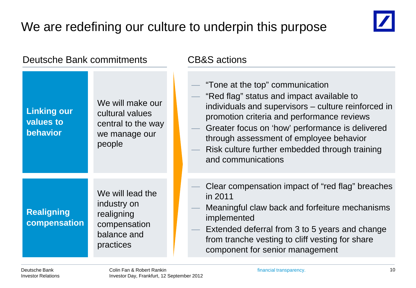# We are redefining our culture to underpin this purpose



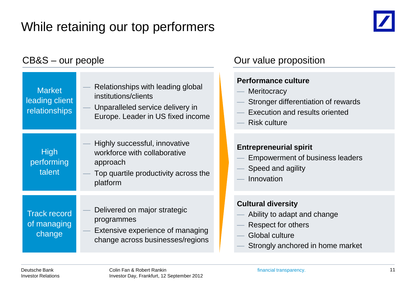# While retaining our top performers



### **High** performing talent Track record of managing change Market leading client relationships — Highly successful, innovative workforce with collaborative approach — Top quartile productivity across the platform — Relationships with leading global institutions/clients Unparalleled service delivery in Europe. Leader in US fixed income Delivered on major strategic programmes Extensive experience of managing change across businesses/regions CB&S – our people CB&S – our people

### **Performance culture**

- **Meritocracy**
- Stronger differentiation of rewards
- Execution and results oriented
- Risk culture

### **Entrepreneurial spirit**

- Empowerment of business leaders
- Speed and agility
- **Innovation**

### **Cultural diversity**

- Ability to adapt and change
- Respect for others
- Global culture
- Strongly anchored in home market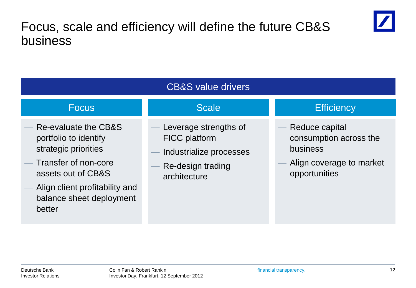# Focus, scale and efficiency will define the future CB&S business



| <b>CB&amp;S</b> value drivers                                                                                                                                                               |                                                                                                               |                                                                                                   |  |  |
|---------------------------------------------------------------------------------------------------------------------------------------------------------------------------------------------|---------------------------------------------------------------------------------------------------------------|---------------------------------------------------------------------------------------------------|--|--|
| <b>Focus</b>                                                                                                                                                                                | <b>Scale</b>                                                                                                  | <b>Efficiency</b>                                                                                 |  |  |
| Re-evaluate the CB&S<br>portfolio to identify<br>strategic priorities<br>Transfer of non-core<br>assets out of CB&S<br>Align client profitability and<br>balance sheet deployment<br>better | Leverage strengths of<br><b>FICC</b> platform<br>Industrialize processes<br>Re-design trading<br>architecture | Reduce capital<br>consumption across the<br>business<br>Align coverage to market<br>opportunities |  |  |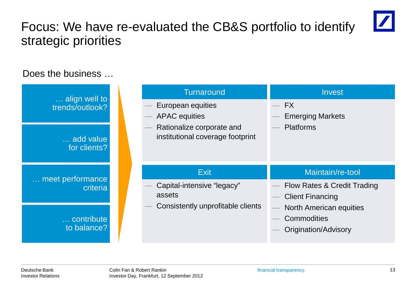# Focus: We have re-evaluated the CB&S portfolio to identify strategic priorities

## Does the business ...

| align well to                | <b>Turnaround</b>                                             | <b>Invest</b>                                                                |
|------------------------------|---------------------------------------------------------------|------------------------------------------------------------------------------|
| trends/outlook?              | European equities<br><b>APAC</b> equities                     | <b>FX</b><br>$\overline{\phantom{a}}$<br><b>Emerging Markets</b>             |
| add value<br>for clients?    | Rationalize corporate and<br>institutional coverage footprint | <b>Platforms</b>                                                             |
|                              |                                                               |                                                                              |
|                              | <b>Exit</b>                                                   | Maintain/re-tool                                                             |
| meet performance<br>criteria | Capital-intensive "legacy"<br>assets                          | Flow Rates & Credit Trading<br><b>Client Financing</b>                       |
| contribute<br>to balance?    | Consistently unprofitable clients                             | <b>North American equities</b><br><b>Commodities</b><br>Origination/Advisory |

 $\vert$  /  $\vert$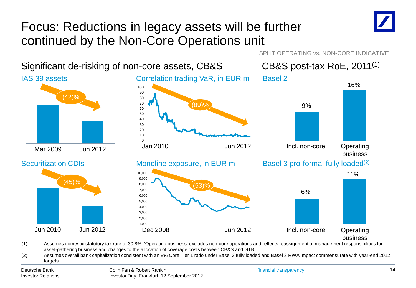# Focus: Reductions in legacy assets will be further continued by the Non-Core Operations unit





(1) Assumes domestic statutory tax rate of 30.8%. 'Operating business' excludes non-core operations and reflects reassignment of management responsibilities for asset-gathering business and changes to the allocation of coverage costs between CB&S and GTB

(2) Assumes overall bank capitalization consistent with an 8% Core Tier 1 ratio under Basel 3 fully loaded and Basel 3 RWA impact commensurate with year-end 2012 targets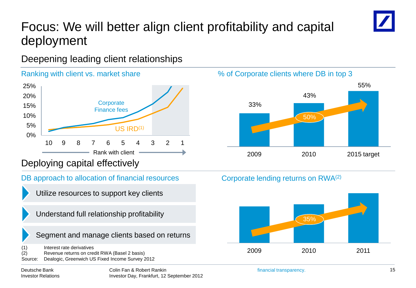# Focus: We will better align client profitability and capital deployment

Deepening leading client relationships



### Deploying capital effectively

DB approach to allocation of financial resources

- Utilize resources to support key clients
- Understand full relationship profitability

Segment and manage clients based on returns

(1) Interest rate derivatives (2) Revenue returns on credit RWA (Basel 2 basis) Source: Dealogic, Greenwich US Fixed Income Survey 2012

Deutsche Bank Investor Relations



### Corporate lending returns on RWA(2)

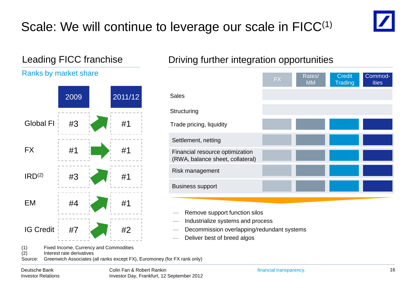# Scale: We will continue to leverage our scale in FICC<sup>(1)</sup>



### Leading FICC franchise

### Ranks by market share



### Driving further integration opportunities

|                                                                     | <b>FX</b> | Rates/<br><b>MM</b> | <b>Credit</b><br><b>Trading</b> | Commod-<br><b>ities</b> |
|---------------------------------------------------------------------|-----------|---------------------|---------------------------------|-------------------------|
| <b>Sales</b>                                                        |           |                     |                                 |                         |
| Structuring                                                         |           |                     |                                 |                         |
| Trade pricing, liquidity                                            |           |                     |                                 |                         |
| Settlement, netting                                                 |           |                     |                                 |                         |
| Financial resource optimization<br>(RWA, balance sheet, collateral) |           |                     |                                 |                         |
| Risk management                                                     |           |                     |                                 |                         |
| <b>Business support</b>                                             |           |                     |                                 |                         |
|                                                                     |           |                     |                                 |                         |

- Remove support function silos
- Industrialize systems and process
- Decommission overlapping/redundant systems
- Deliver best of breed algos

(1) Fixed Income, Currency and Commodities<br>(2) Interest rate derivatives

Interest rate derivatives

Source: Greenwich Associates (all ranks except FX), Euromoney (for FX rank only)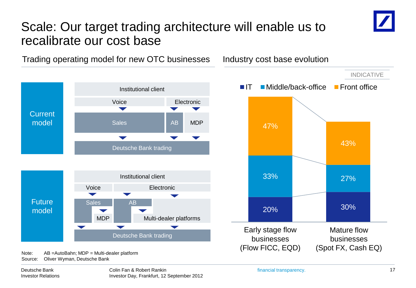# Scale: Our target trading architecture will enable us to recalibrate our cost base



Source: Oliver Wyman, Deutsche Bank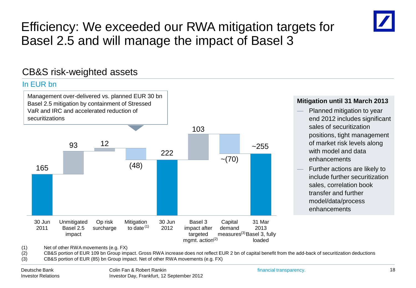# Efficiency: We exceeded our RWA mitigation targets for Basel 2.5 and will manage the impact of Basel 3

### CB&S risk-weighted assets

### In EUR bn



### **Mitigation until 31 March 2013**

- Planned mitigation to year end 2012 includes significant sales of securitization positions, tight management of market risk levels along with model and data enhancements
- Further actions are likely to include further securitization sales, correlation book transfer and further model/data/process enhancements

(1) Net of other RWA movements (e.g. FX)

(2) CB&S portion of EUR 109 bn Group impact. Gross RWA increase does not reflect EUR 2 bn of capital benefit from the add-back of securitization deductions

(3) CB&S portion of EUR (85) bn Group impact. Net of other RWA movements (e.g. FX)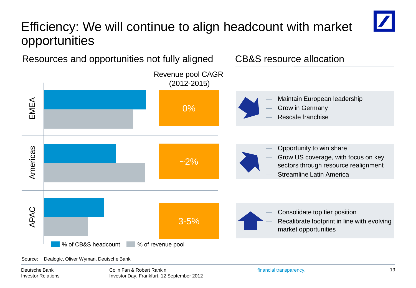# Efficiency: We will continue to align headcount with market opportunities



Source: Dealogic, Oliver Wyman, Deutsche Bank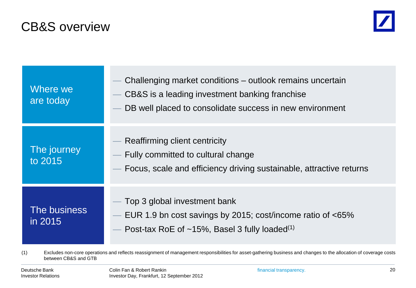# CB&S overview



| Where we<br>are today   | Challenging market conditions – outlook remains uncertain<br>CB&S is a leading investment banking franchise<br>DB well placed to consolidate success in new environment                 |
|-------------------------|-----------------------------------------------------------------------------------------------------------------------------------------------------------------------------------------|
| The journey<br>to 2015  | Reaffirming client centricity<br>Fully committed to cultural change<br>Focus, scale and efficiency driving sustainable, attractive returns                                              |
| The business<br>in 2015 | Top 3 global investment bank<br>EUR 1.9 bn cost savings by 2015; cost/income ratio of <65%<br>$\overline{\phantom{m}}$<br>Post-tax RoE of $~15\%$ , Basel 3 fully loaded <sup>(1)</sup> |

(1) Excludes non-core operations and reflects reassignment of management responsibilities for asset-gathering business and changes to the allocation of coverage costs between CB&S and GTB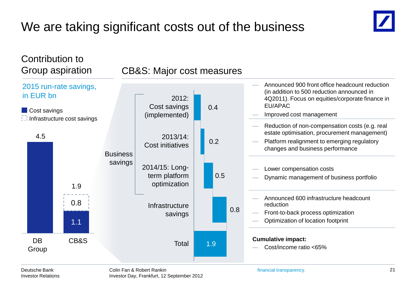# We are taking significant costs out of the business



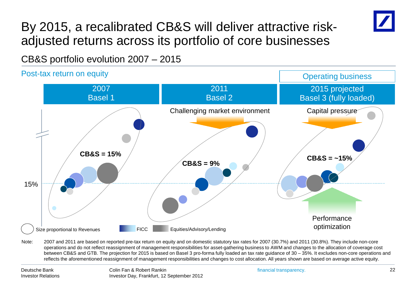

# By 2015, a recalibrated CB&S will deliver attractive riskadjusted returns across its portfolio of core businesses

CB&S portfolio evolution 2007 – 2015



Note: 2007 and 2011 are based on reported pre-tax return on equity and on domestic statutory tax rates for 2007 (30.7%) and 2011 (30.8%). They include non-core operations and do not reflect reassignment of management responsibilities for asset-gathering business to AWM and changes to the allocation of coverage cost between CB&S and GTB. The projection for 2015 is based on Basel 3 pro-forma fully loaded an tax rate guidance of 30 – 35%. It excludes non-core operations and reflects the aforementioned reassignment of management responsibilities and changes to cost allocation. All years shown are based on average active equity.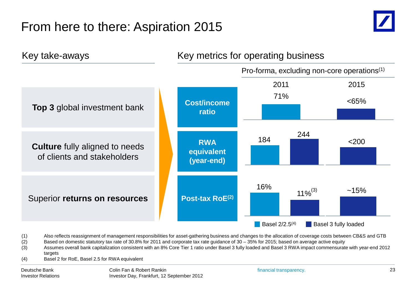# From here to there: Aspiration 2015





(1) Also reflects reassignment of management responsibilities for asset-gathering business and changes to the allocation of coverage costs between CB&S and GTB

(2) Based on domestic statutory tax rate of 30.8% for 2011 and corporate tax rate guidance of 30 – 35% for 2015; based on average active equity

(3) Assumes overall bank capitalization consistent with an 8% Core Tier 1 ratio under Basel 3 fully loaded and Basel 3 RWA impact commensurate with year-end 2012 targets

(4) Basel 2 for RoE, Basel 2.5 for RWA equivalent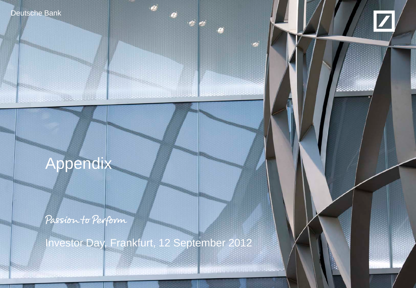



# Appendix

**March 1996 Was Addition** 

Passion to Perform

Investor Day, Frankfurt, 12 September 2012

 $\frac{1}{2}$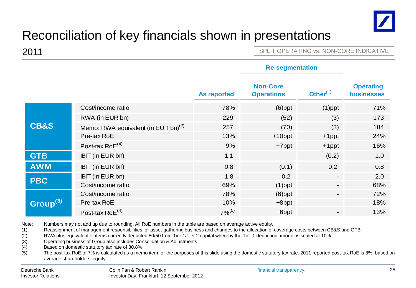

# Reconciliation of key financials shown in presentations

2011 **2011** SPLIT OPERATING vs. NON-CORE INDICATIVE

**Re-segmentation**

|                      |                                                 |                    | Re-segmentation                      |                          |                                       |
|----------------------|-------------------------------------------------|--------------------|--------------------------------------|--------------------------|---------------------------------------|
|                      |                                                 | <b>As reported</b> | <b>Non-Core</b><br><b>Operations</b> | Other $(1)$              | <b>Operating</b><br><b>businesses</b> |
|                      | Cost/income ratio                               | 78%                | $(6)$ ppt                            | $(1)$ ppt                | 71%                                   |
|                      | RWA (in EUR bn)                                 | 229                | (52)                                 | (3)                      | 173                                   |
| <b>CB&amp;S</b>      | Memo: RWA equivalent (in EUR bn) <sup>(2)</sup> | 257                | (70)                                 | (3)                      | 184                                   |
|                      | Pre-tax RoE                                     | 13%                | $+10$ ppt                            | $+1$ ppt                 | 24%                                   |
|                      | Post-tax Ro $E^{(4)}$                           | 9%                 | $+7$ ppt                             | $+1$ ppt                 | 16%                                   |
| <b>GTB</b>           | IBIT (in EUR bn)                                | 1.1                | $\overline{\phantom{a}}$             | (0.2)                    | 1.0                                   |
| <b>AWM</b>           | IBIT (in EUR bn)                                | 0.8                | (0.1)                                | 0.2                      | 0.8                                   |
| <b>PBC</b>           | IBIT (in EUR bn)                                | 1.8                | 0.2                                  | $\blacksquare$           | 2.0                                   |
|                      | Cost/income ratio                               | 69%                | $(1)$ ppt                            |                          | 68%                                   |
|                      | Cost/income ratio                               | 78%                | $(6)$ ppt                            | $\blacksquare$           | 72%                                   |
| Group <sup>(3)</sup> | Pre-tax RoE                                     | 10%                | $+8$ ppt                             | ۰                        | 18%                                   |
|                      | Post-tax Ro $E^{(4)}$                           | $7%^{(5)}$         | $+6$ ppt                             | $\overline{\phantom{a}}$ | 13%                                   |

Note: Numbers may not add up due to rounding. All RoE numbers in the table are based on average active equity.

(1) Reassignment of management responsibilities for asset-gathering business and changes to the allocation of coverage costs between CB&S and GTB

(2) RWA plus equivalent of items currently deducted 50/50 from Tier 1/Tier 2 capital whereby the Tier 1 deduction amount is scaled at 10%

(3) Operating business of Group also includes Consolidation & Adjustments

(4) Based on domestic statutory tax rate of 30.8%

(5) The post-tax RoE of 7% is calculated as a memo item for the purposes of this slide using the domestic statutory tax rate. 2011 reported post-tax RoE is 8%, based on average shareholders' equity